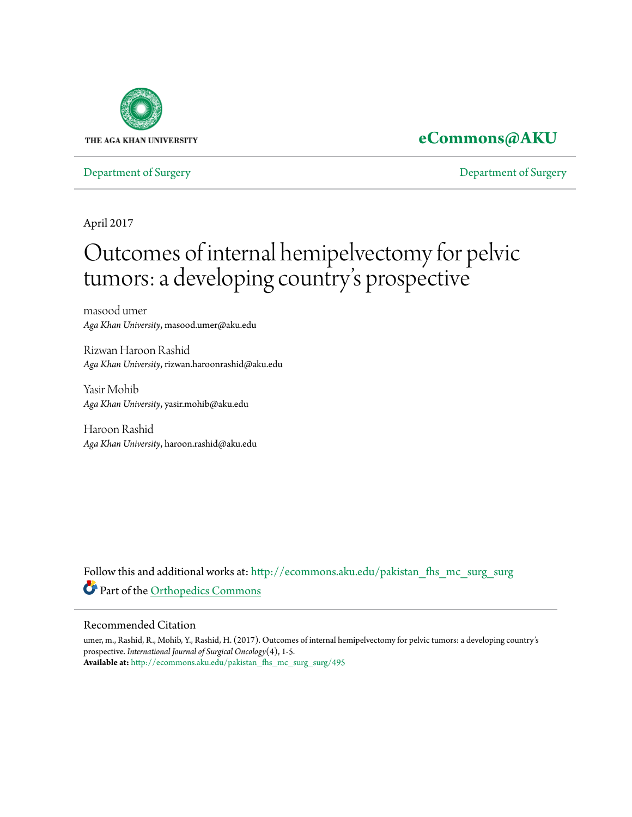

# **[eCommons@AKU](http://ecommons.aku.edu?utm_source=ecommons.aku.edu%2Fpakistan_fhs_mc_surg_surg%2F495&utm_medium=PDF&utm_campaign=PDFCoverPages)**

[Department of Surgery](http://ecommons.aku.edu/pakistan_fhs_mc_surg_surg?utm_source=ecommons.aku.edu%2Fpakistan_fhs_mc_surg_surg%2F495&utm_medium=PDF&utm_campaign=PDFCoverPages) [Department of Surgery](http://ecommons.aku.edu/pakistan_fhs_mc_surg?utm_source=ecommons.aku.edu%2Fpakistan_fhs_mc_surg_surg%2F495&utm_medium=PDF&utm_campaign=PDFCoverPages)

April 2017

# Outcomes of internal hemipelvectomy for pelvic tumors: a developing country s prospective י<br>' י

masood umer *Aga Khan University*, masood.umer@aku.edu

Rizwan Haroon Rashid *Aga Khan University*, rizwan.haroonrashid@aku.edu

Yasir Mohib *Aga Khan University*, yasir.mohib@aku.edu

Haroon Rashid *Aga Khan University*, haroon.rashid@aku.edu

Follow this and additional works at: [http://ecommons.aku.edu/pakistan\\_fhs\\_mc\\_surg\\_surg](http://ecommons.aku.edu/pakistan_fhs_mc_surg_surg?utm_source=ecommons.aku.edu%2Fpakistan_fhs_mc_surg_surg%2F495&utm_medium=PDF&utm_campaign=PDFCoverPages) Part of the [Orthopedics Commons](http://network.bepress.com/hgg/discipline/696?utm_source=ecommons.aku.edu%2Fpakistan_fhs_mc_surg_surg%2F495&utm_medium=PDF&utm_campaign=PDFCoverPages)

# Recommended Citation

umer, m., Rashid, R., Mohib, Y., Rashid, H. (2017). Outcomes of internal hemipelvectomy for pelvic tumors: a developing country's prospective. *International Journal of Surgical Oncology*(4), 1-5. **Available at:** [http://ecommons.aku.edu/pakistan\\_fhs\\_mc\\_surg\\_surg/495](http://ecommons.aku.edu/pakistan_fhs_mc_surg_surg/495)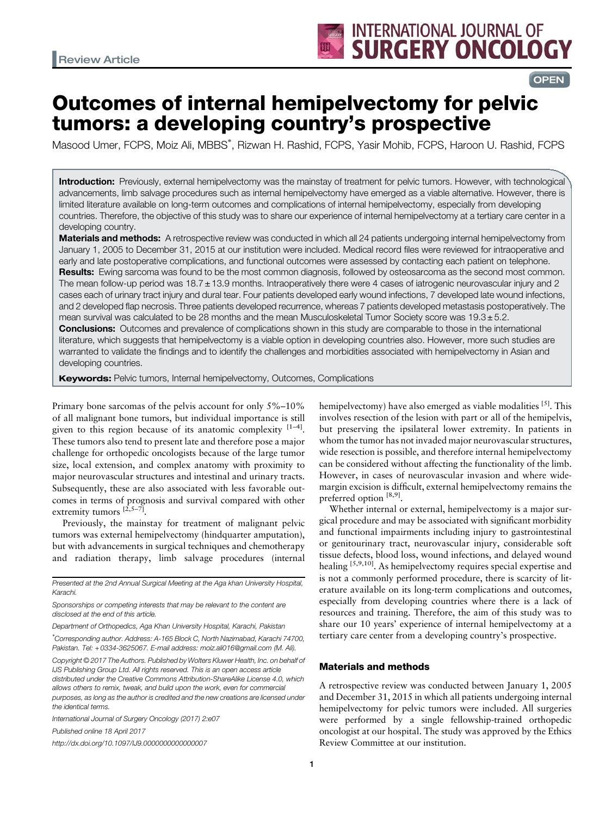# **OPEN**

# Outcomes of internal hemipelvectomy for pelvic tumors: a developing country's prospective

Masood Umer, FCPS, Moiz Ali, MBBS<sup>\*</sup>, Rizwan H. Rashid, FCPS, Yasir Mohib, FCPS, Haroon U. Rashid, FCPS

Introduction: Previously, external hemipelvectomy was the mainstay of treatment for pelvic tumors. However, with technological advancements, limb salvage procedures such as internal hemipelvectomy have emerged as a viable alternative. However, there is limited literature available on long-term outcomes and complications of internal hemipelvectomy, especially from developing countries. Therefore, the objective of this study was to share our experience of internal hemipelvectomy at a tertiary care center in a developing country.

Materials and methods: A retrospective review was conducted in which all 24 patients undergoing internal hemipelvectomy from January 1, 2005 to December 31, 2015 at our institution were included. Medical record files were reviewed for intraoperative and early and late postoperative complications, and functional outcomes were assessed by contacting each patient on telephone. Results: Ewing sarcoma was found to be the most common diagnosis, followed by osteosarcoma as the second most common. The mean follow-up period was 18.7 ± 13.9 months. Intraoperatively there were 4 cases of iatrogenic neurovascular injury and 2 cases each of urinary tract injury and dural tear. Four patients developed early wound infections, 7 developed late wound infections, and 2 developed flap necrosis. Three patients developed recurrence, whereas 7 patients developed metastasis postoperatively. The mean survival was calculated to be 28 months and the mean Musculoskeletal Tumor Society score was  $19.3 \pm 5.2$ . **Conclusions:** Outcomes and prevalence of complications shown in this study are comparable to those in the international literature, which suggests that hemipelvectomy is a viable option in developing countries also. However, more such studies are warranted to validate the findings and to identify the challenges and morbidities associated with hemipelvectomy in Asian and developing countries.

**Keywords:** Pelvic tumors, Internal hemipelvectomy, Outcomes, Complications

Primary bone sarcomas of the pelvis account for only 5%–10% of all malignant bone tumors, but individual importance is still given to this region because of its anatomic complexity  $[1-4]$  $[1-4]$ . These tumors also tend to present late and therefore pose a major challenge for orthopedic oncologists because of the large tumor size, local extension, and complex anatomy with proximity to major neurovascular structures and intestinal and urinary tracts. Subsequently, these are also associated with less favorable outcomes in terms of prognosis and survival compared with other extremity tumors  $[\tilde{2}, 5-\tilde{7}]$ 

Previously, the mainstay for treatment of malignant pelvic tumors was external hemipelvectomy (hindquarter amputation), but with advancements in surgical techniques and chemotherapy and radiation therapy, limb salvage procedures (internal

Department of Orthopedics, Aga Khan University Hospital, Karachi, Pakistan

\* Corresponding author. Address: A-165 Block C, North Nazimabad, Karachi 74700, Pakistan. Tel: +0334-3625067. E-mail address: [moiz.ali016@gmail.com](mailto:moiz.ali016@gmail.com) (M. Ali).

Copyright © 2017 The Authors. Published by Wolters Kluwer Health, Inc. on behalf of IJS Publishing Group Ltd. All rights reserved. This is an open access article distributed under the [Creative Commons Attribution-ShareAlike License 4.0,](https://creativecommons.org/licenses/by-sa/4.0/) which allows others to remix, tweak, and build upon the work, even for commercial purposes, as long as the author is credited and the new creations are licensed under the identical terms.

International Journal of Surgery Oncology (2017) 2:e07

Published online 18 April 2017

http://dx.doi.org/10.1097/IJ9.0000000000000007

hemipelvectomy) have also emerged as viable modalities  $[5]$  $[5]$ . This involves resection of the lesion with part or all of the hemipelvis, but preserving the ipsilateral lower extremity. In patients in whom the tumor has not invaded major neurovascular structures, wide resection is possible, and therefore internal hemipelvectomy can be considered without affecting the functionality of the limb. However, in cases of neurovascular invasion and where widemargin excision is difficult, external hemipelvectomy remains the preferred option  $[8,9]$  $[8,9]$ .

Whether internal or external, hemipelvectomy is a major surgical procedure and may be associated with significant morbidity and functional impairments including injury to gastrointestinal or genitourinary tract, neurovascular injury, considerable soft tissue defects, blood loss, wound infections, and delayed wound healing <sup>[\[5,9,10](#page-5-0)]</sup>. As hemipelvectomy requires special expertise and is not a commonly performed procedure, there is scarcity of literature available on its long-term complications and outcomes, especially from developing countries where there is a lack of resources and training. Therefore, the aim of this study was to share our 10 years' experience of internal hemipelvectomy at a tertiary care center from a developing country's prospective.

### Materials and methods

A retrospective review was conducted between January 1, 2005 and December 31, 2015 in which all patients undergoing internal hemipelvectomy for pelvic tumors were included. All surgeries were performed by a single fellowship-trained orthopedic oncologist at our hospital. The study was approved by the Ethics Review Committee at our institution.

Presented at the 2nd Annual Surgical Meeting at the Aga khan University Hospital, Karachi.

Sponsorships or competing interests that may be relevant to the content are disclosed at the end of this article.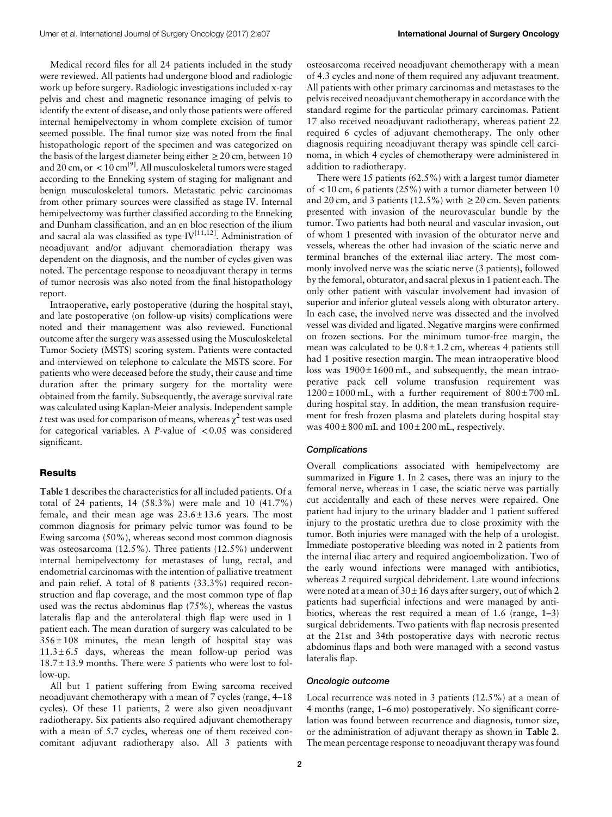Medical record files for all 24 patients included in the study were reviewed. All patients had undergone blood and radiologic work up before surgery. Radiologic investigations included x-ray pelvis and chest and magnetic resonance imaging of pelvis to identify the extent of disease, and only those patients were offered internal hemipelvectomy in whom complete excision of tumor seemed possible. The final tumor size was noted from the final histopathologic report of the specimen and was categorized on the basis of the largest diameter being either  $\geq 20$  cm, between 10 and 20 cm, or  $\lt 10$  cm<sup>[\[9\]](#page-5-0)</sup>. All musculoskeletal tumors were staged according to the Enneking system of staging for malignant and benign musculoskeletal tumors. Metastatic pelvic carcinomas from other primary sources were classified as stage IV. Internal hemipelvectomy was further classified according to the Enneking and Dunham classification, and an en bloc resection of the ilium and sacral ala was classified as type  $IV^{[11,12]}$  $IV^{[11,12]}$  $IV^{[11,12]}$ . Administration of neoadjuvant and/or adjuvant chemoradiation therapy was dependent on the diagnosis, and the number of cycles given was noted. The percentage response to neoadjuvant therapy in terms of tumor necrosis was also noted from the final histopathology report.

Intraoperative, early postoperative (during the hospital stay), and late postoperative (on follow-up visits) complications were noted and their management was also reviewed. Functional outcome after the surgery was assessed using the Musculoskeletal Tumor Society (MSTS) scoring system. Patients were contacted and interviewed on telephone to calculate the MSTS score. For patients who were deceased before the study, their cause and time duration after the primary surgery for the mortality were obtained from the family. Subsequently, the average survival rate was calculated using Kaplan-Meier analysis. Independent sample t test was used for comparison of means, whereas  $\chi^2$  test was used for categorical variables. A P-value of  $< 0.05$  was considered significant.

### **Results**

[Table 1](#page-3-0) describes the characteristics for all included patients. Of a total of 24 patients, 14 (58.3%) were male and 10 (41.7%) female, and their mean age was  $23.6 \pm 13.6$  years. The most common diagnosis for primary pelvic tumor was found to be Ewing sarcoma (50%), whereas second most common diagnosis was osteosarcoma (12.5%). Three patients (12.5%) underwent internal hemipelvectomy for metastases of lung, rectal, and endometrial carcinomas with the intention of palliative treatment and pain relief. A total of 8 patients (33.3%) required reconstruction and flap coverage, and the most common type of flap used was the rectus abdominus flap (75%), whereas the vastus lateralis flap and the anterolateral thigh flap were used in 1 patient each. The mean duration of surgery was calculated to be  $356 \pm 108$  minutes, the mean length of hospital stay was  $11.3 \pm 6.5$  days, whereas the mean follow-up period was  $18.7 \pm 13.9$  months. There were 5 patients who were lost to follow-up.

All but 1 patient suffering from Ewing sarcoma received neoadjuvant chemotherapy with a mean of 7 cycles (range, 4–18 cycles). Of these 11 patients, 2 were also given neoadjuvant radiotherapy. Six patients also required adjuvant chemotherapy with a mean of 5.7 cycles, whereas one of them received concomitant adjuvant radiotherapy also. All 3 patients with osteosarcoma received neoadjuvant chemotherapy with a mean of 4.3 cycles and none of them required any adjuvant treatment. All patients with other primary carcinomas and metastases to the pelvis received neoadjuvant chemotherapy in accordance with the standard regime for the particular primary carcinomas. Patient 17 also received neoadjuvant radiotherapy, whereas patient 22 required 6 cycles of adjuvant chemotherapy. The only other diagnosis requiring neoadjuvant therapy was spindle cell carcinoma, in which 4 cycles of chemotherapy were administered in addition to radiotherapy.

There were 15 patients (62.5%) with a largest tumor diameter of  $\langle 10 \text{ cm}, 6 \text{ patients} (25\%)$  with a tumor diameter between 10 and 20 cm, and 3 patients (12.5%) with  $\geq$  20 cm. Seven patients presented with invasion of the neurovascular bundle by the tumor. Two patients had both neural and vascular invasion, out of whom 1 presented with invasion of the obturator nerve and vessels, whereas the other had invasion of the sciatic nerve and terminal branches of the external iliac artery. The most commonly involved nerve was the sciatic nerve (3 patients), followed by the femoral, obturator, and sacral plexus in 1 patient each. The only other patient with vascular involvement had invasion of superior and inferior gluteal vessels along with obturator artery. In each case, the involved nerve was dissected and the involved vessel was divided and ligated. Negative margins were confirmed on frozen sections. For the minimum tumor-free margin, the mean was calculated to be  $0.8 \pm 1.2$  cm, whereas 4 patients still had 1 positive resection margin. The mean intraoperative blood loss was  $1900 \pm 1600$  mL, and subsequently, the mean intraoperative pack cell volume transfusion requirement was  $1200 \pm 1000$  mL, with a further requirement of  $800 \pm 700$  mL during hospital stay. In addition, the mean transfusion requirement for fresh frozen plasma and platelets during hospital stay was  $400 \pm 800$  mL and  $100 \pm 200$  mL, respectively.

#### **Complications**

Overall complications associated with hemipelvectomy are summarized in [Figure 1](#page-3-0). In 2 cases, there was an injury to the femoral nerve, whereas in 1 case, the sciatic nerve was partially cut accidentally and each of these nerves were repaired. One patient had injury to the urinary bladder and 1 patient suffered injury to the prostatic urethra due to close proximity with the tumor. Both injuries were managed with the help of a urologist. Immediate postoperative bleeding was noted in 2 patients from the internal iliac artery and required angioembolization. Two of the early wound infections were managed with antibiotics, whereas 2 required surgical debridement. Late wound infections were noted at a mean of  $30 \pm 16$  days after surgery, out of which 2 patients had superficial infections and were managed by antibiotics, whereas the rest required a mean of 1.6 (range, 1–3) surgical debridements. Two patients with flap necrosis presented at the 21st and 34th postoperative days with necrotic rectus abdominus flaps and both were managed with a second vastus lateralis flap.

## Oncologic outcome

Local recurrence was noted in 3 patients (12.5%) at a mean of 4 months (range, 1–6 mo) postoperatively. No significant correlation was found between recurrence and diagnosis, tumor size, or the administration of adjuvant therapy as shown in [Table 2](#page-4-0). The mean percentage response to neoadjuvant therapy was found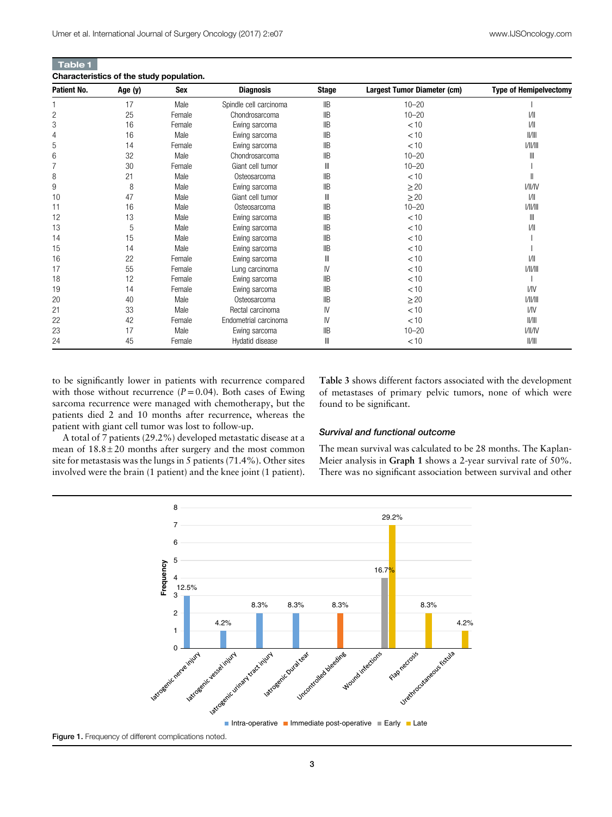<span id="page-3-0"></span>

| <b>Table 1</b>                          |  |  |
|-----------------------------------------|--|--|
| Characteristics of the study population |  |  |

| Characteristics of the study population. |         |        |                        |                |                             |                               |
|------------------------------------------|---------|--------|------------------------|----------------|-----------------------------|-------------------------------|
| Patient No.                              | Age (y) | Sex    | <b>Diagnosis</b>       | <b>Stage</b>   | Largest Tumor Diameter (cm) | <b>Type of Hemipelvectomy</b> |
|                                          | 17      | Male   | Spindle cell carcinoma | IIB            | $10 - 20$                   |                               |
| 2                                        | 25      | Female | Chondrosarcoma         | IIB            | $10 - 20$                   | 1/11                          |
| 3                                        | 16      | Female | Ewing sarcoma          | IIB            | < 10                        | 1/11                          |
| 4                                        | 16      | Male   | Ewing sarcoma          | $\mathsf{IIB}$ | < 10                        | /                             |
| 5                                        | 14      | Female | Ewing sarcoma          | IIB            | < 10                        | 1/  /                         |
| 6                                        | 32      | Male   | Chondrosarcoma         | IIB            | $10 - 20$                   | Ш                             |
|                                          | 30      | Female | Giant cell tumor       | Ш              | $10 - 20$                   |                               |
| 8                                        | 21      | Male   | Osteosarcoma           | <b>IIB</b>     | < 10                        |                               |
| 9                                        | 8       | Male   | Ewing sarcoma          | IIB            | $\geq$ 20                   | 1/11/1V                       |
| 10                                       | 47      | Male   | Giant cell tumor       | Ш              | $\geq$ 20                   | 1/11                          |
| 11                                       | 16      | Male   | Osteosarcoma           | IIB            | $10 - 20$                   | 1/  /                         |
| 12                                       | 13      | Male   | Ewing sarcoma          | $\mathsf{IIB}$ | < 10                        | $\mathbb{I}$                  |
| 13                                       | 5       | Male   | Ewing sarcoma          | IIB            | < 10                        | I/II                          |
| 14                                       | 15      | Male   | Ewing sarcoma          | IIB            | < 10                        |                               |
| 15                                       | 14      | Male   | Ewing sarcoma          | IIB            | < 10                        |                               |
| 16                                       | 22      | Female | Ewing sarcoma          | Ш              | < 10                        | 1/11                          |
| 17                                       | 55      | Female | Lung carcinoma         | IV             | < 10                        | 1/  /                         |
| 18                                       | 12      | Female | Ewing sarcoma          | IIB            | < 10                        |                               |
| 19                                       | 14      | Female | Ewing sarcoma          | IIB            | < 10                        | <b>I/IV</b>                   |
| 20                                       | 40      | Male   | Osteosarcoma           | IIB            | $\geq 20$                   | 1/  /                         |
| 21                                       | 33      | Male   | Rectal carcinoma       | IV             | < 10                        | V <sub>N</sub>                |
| 22                                       | 42      | Female | Endometrial carcinoma  | IV             | < 10                        | /                             |
| 23                                       | 17      | Male   | Ewing sarcoma          | IIB            | $10 - 20$                   | 1/11/1V                       |
| 24                                       | 45      | Female | Hydatid disease        | Ш              | < 10                        | /                             |

to be significantly lower in patients with recurrence compared with those without recurrence  $(P=0.04)$ . Both cases of Ewing sarcoma recurrence were managed with chemotherapy, but the patients died 2 and 10 months after recurrence, whereas the patient with giant cell tumor was lost to follow-up.

[Table 3](#page-4-0) shows different factors associated with the development of metastases of primary pelvic tumors, none of which were found to be significant.

A total of 7 patients (29.2%) developed metastatic disease at a mean of  $18.8 \pm 20$  months after surgery and the most common site for metastasis was the lungs in 5 patients (71.4%). Other sites involved were the brain (1 patient) and the knee joint (1 patient).

#### Survival and functional outcome

The mean survival was calculated to be 28 months. The Kaplan-Meier analysis in [Graph 1](#page-4-0) shows a 2-year survival rate of 50%. There was no significant association between survival and other



Figure 1. Frequency of different complications noted.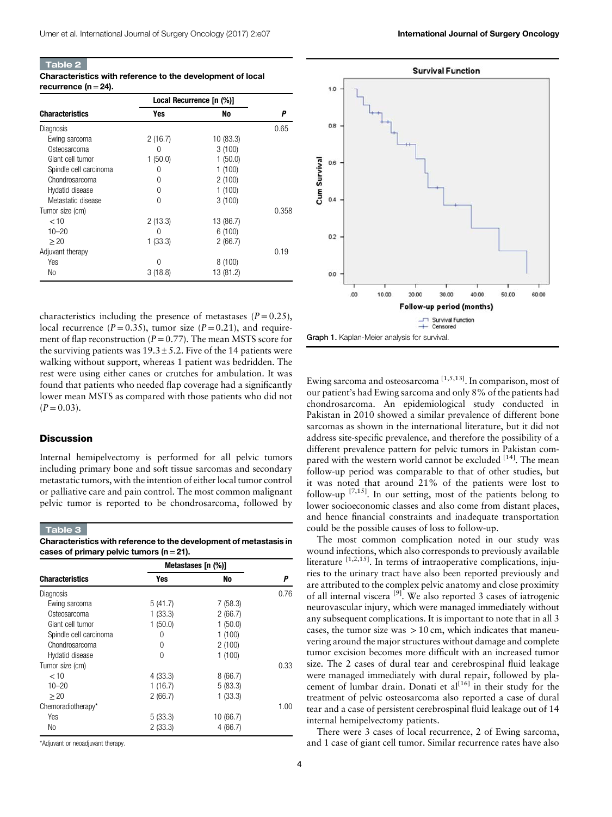<span id="page-4-0"></span>

| <b>Table 2</b>          |                                                            |
|-------------------------|------------------------------------------------------------|
|                         | Characteristics with reference to the development of local |
| recurrence (n = $24$ ). |                                                            |

|                        | Local Recurrence [n (%)] |           |       |  |
|------------------------|--------------------------|-----------|-------|--|
| <b>Characteristics</b> | Yes                      | No        | Ρ     |  |
| Diagnosis              |                          |           | 0.65  |  |
| Ewing sarcoma          | 2(16.7)                  | 10(83.3)  |       |  |
| Osteosarcoma           | 0                        | 3(100)    |       |  |
| Giant cell tumor       | 1(50.0)                  | 1(50.0)   |       |  |
| Spindle cell carcinoma | $\cup$                   | 1(100)    |       |  |
| Chondrosarcoma         | 0                        | 2(100)    |       |  |
| Hydatid disease        | $\Omega$                 | 1(100)    |       |  |
| Metastatic disease     | 0                        | 3(100)    |       |  |
| Tumor size (cm)        |                          |           | 0.358 |  |
| < 10                   | 2(13.3)                  | 13 (86.7) |       |  |
| $10 - 20$              | $\left( \right)$         | 6(100)    |       |  |
| > 20                   | 1(33.3)                  | 2(66.7)   |       |  |
| Adjuvant therapy       |                          |           | 0.19  |  |
| Yes                    | U                        | 8(100)    |       |  |
| No                     | 3(18.8)                  | 13 (81.2) |       |  |

characteristics including the presence of metastases  $(P = 0.25)$ , local recurrence  $(P=0.35)$ , tumor size  $(P=0.21)$ , and requirement of flap reconstruction ( $P=0.77$ ). The mean MSTS score for the surviving patients was  $19.3 \pm 5.2$ . Five of the 14 patients were walking without support, whereas 1 patient was bedridden. The rest were using either canes or crutches for ambulation. It was found that patients who needed flap coverage had a significantly lower mean MSTS as compared with those patients who did not  $(P = 0.03)$ .

#### **Discussion**

Internal hemipelvectomy is performed for all pelvic tumors including primary bone and soft tissue sarcomas and secondary metastatic tumors, with the intention of either local tumor control or palliative care and pain control. The most common malignant pelvic tumor is reported to be chondrosarcoma, followed by

#### Table 3

Characteristics with reference to the development of metastasis in cases of primary pelvic tumors ( $n=21$ ).

|                        | Metastases [n (%)] |           |      |
|------------------------|--------------------|-----------|------|
| <b>Characteristics</b> | Yes                | No        | Ρ    |
| Diagnosis              |                    |           | 0.76 |
| Ewing sarcoma          | 5(41.7)            | 7(58.3)   |      |
| Osteosarcoma           | 1(33.3)            | 2(66.7)   |      |
| Giant cell tumor       | 1(50.0)            | 1(50.0)   |      |
| Spindle cell carcinoma | 0                  | 1(100)    |      |
| Chondrosarcoma         | 0                  | 2(100)    |      |
| Hydatid disease        | 0                  | 1(100)    |      |
| Tumor size (cm)        |                    |           | 0.33 |
| < 10                   | 4(33.3)            | 8(66.7)   |      |
| $10 - 20$              | 1(16.7)            | 5(83.3)   |      |
| > 20                   | 2(66.7)            | 1(33.3)   |      |
| Chemoradiotherapy*     |                    |           | 1.00 |
| Yes                    | 5(33.3)            | 10 (66.7) |      |
| No                     | 2(33.3)            | 4(66.7)   |      |

\*Adjuvant or neoadjuvant therapy.



Ewing sarcoma and osteosarcoma  $[1,5,13]$ . In comparison, most of our patient's had Ewing sarcoma and only 8% of the patients had chondrosarcoma. An epidemiological study conducted in Pakistan in 2010 showed a similar prevalence of different bone sarcomas as shown in the international literature, but it did not address site-specific prevalence, and therefore the possibility of a different prevalence pattern for pelvic tumors in Pakistan com-pared with the western world cannot be excluded <sup>[\[14\]](#page-5-0)</sup>. The mean follow-up period was comparable to that of other studies, but it was noted that around 21% of the patients were lost to follow-up [\[7,15\]](#page-5-0). In our setting, most of the patients belong to lower socioeconomic classes and also come from distant places, and hence financial constraints and inadequate transportation could be the possible causes of loss to follow-up.

The most common complication noted in our study was wound infections, which also corresponds to previously available literature <sup>[\[1,2,15](#page-5-0)]</sup>. In terms of intraoperative complications, injuries to the urinary tract have also been reported previously and are attributed to the complex pelvic anatomy and close proximity of all internal viscera [\[9\]](#page-5-0). We also reported 3 cases of iatrogenic neurovascular injury, which were managed immediately without any subsequent complications. It is important to note that in all 3 cases, the tumor size was  $> 10$  cm, which indicates that maneuvering around the major structures without damage and complete tumor excision becomes more difficult with an increased tumor size. The 2 cases of dural tear and cerebrospinal fluid leakage were managed immediately with dural repair, followed by placement of lumbar drain. Donati et  $al^{[16]}$  $al^{[16]}$  $al^{[16]}$  in their study for the treatment of pelvic osteosarcoma also reported a case of dural tear and a case of persistent cerebrospinal fluid leakage out of 14 internal hemipelvectomy patients.

There were 3 cases of local recurrence, 2 of Ewing sarcoma, and 1 case of giant cell tumor. Similar recurrence rates have also